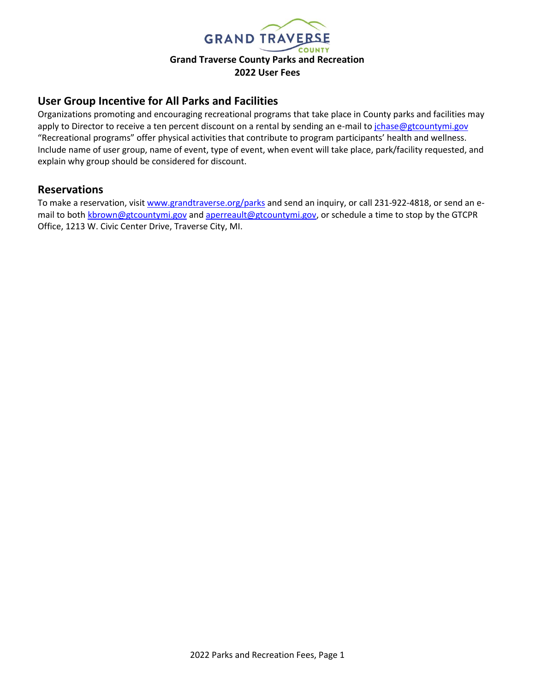

# **User Group Incentive for All Parks and Facilities**

Organizations promoting and encouraging recreational programs that take place in County parks and facilities may apply to Director to receive a ten percent discount on a rental by sending an e-mail t[o jchase@gtcountymi.gov](mailto:jchase@gtcountymi.gov) "Recreational programs" offer physical activities that contribute to program participants' health and wellness. Include name of user group, name of event, type of event, when event will take place, park/facility requested, and explain why group should be considered for discount.

### **Reservations**

To make a reservation, visit [www.grandtraverse.org/parks](http://www.grandtraverse.org/parks) and send an inquiry, or call 231-922-4818, or send an email to both [kbrown@gtcountymi.gov](mailto:kbrown@gtcountymi.gov) an[d aperreault@gtcountymi.gov,](mailto:aperreault@gtcountymi.gov) or schedule a time to stop by the GTCPR Office, 1213 W. Civic Center Drive, Traverse City, MI.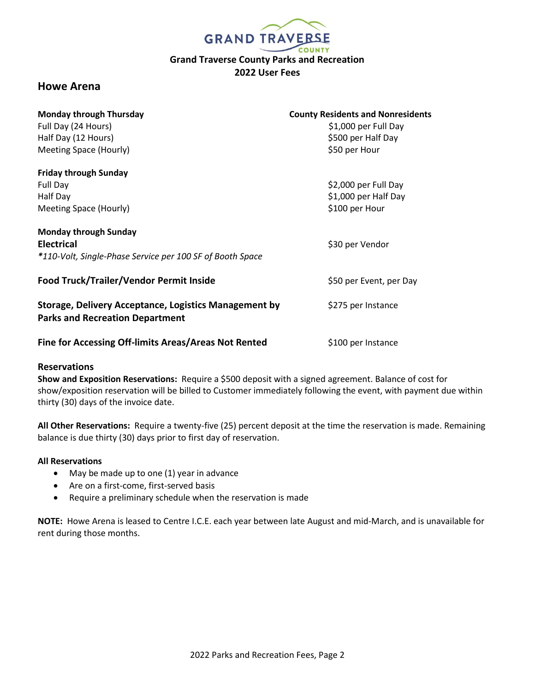

# **Howe Arena**

| <b>Monday through Thursday</b><br>Full Day (24 Hours)<br>Half Day (12 Hours)<br>Meeting Space (Hourly)         | <b>County Residents and Nonresidents</b><br>\$1,000 per Full Day<br>\$500 per Half Day<br>\$50 per Hour |
|----------------------------------------------------------------------------------------------------------------|---------------------------------------------------------------------------------------------------------|
| <b>Friday through Sunday</b><br>Full Day<br>Half Day<br>Meeting Space (Hourly)                                 | \$2,000 per Full Day<br>\$1,000 per Half Day<br>\$100 per Hour                                          |
| <b>Monday through Sunday</b><br><b>Electrical</b><br>*110-Volt, Single-Phase Service per 100 SF of Booth Space | \$30 per Vendor                                                                                         |
| Food Truck/Trailer/Vendor Permit Inside                                                                        | \$50 per Event, per Day                                                                                 |
| <b>Storage, Delivery Acceptance, Logistics Management by</b><br><b>Parks and Recreation Department</b>         | \$275 per Instance                                                                                      |
| Fine for Accessing Off-limits Areas/Areas Not Rented                                                           | \$100 per Instance                                                                                      |

#### **Reservations**

**Show and Exposition Reservations:** Require a \$500 deposit with a signed agreement. Balance of cost for show/exposition reservation will be billed to Customer immediately following the event, with payment due within thirty (30) days of the invoice date.

**All Other Reservations:** Require a twenty-five (25) percent deposit at the time the reservation is made. Remaining balance is due thirty (30) days prior to first day of reservation.

#### **All Reservations**

- May be made up to one (1) year in advance
- Are on a first-come, first-served basis
- Require a preliminary schedule when the reservation is made

**NOTE:** Howe Arena is leased to Centre I.C.E. each year between late August and mid-March, and is unavailable for rent during those months.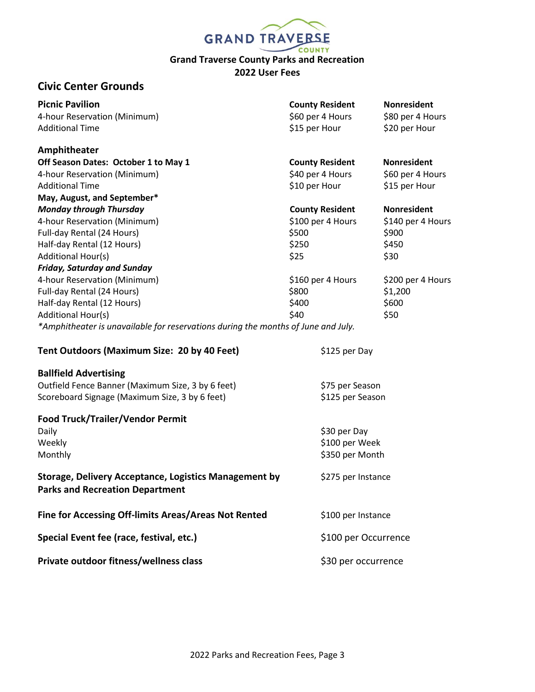| <b>GRAND TRAVERSE</b>                                                                                  |                        |                    |  |
|--------------------------------------------------------------------------------------------------------|------------------------|--------------------|--|
|                                                                                                        |                        |                    |  |
| <b>Grand Traverse County Parks and Recreation</b>                                                      |                        |                    |  |
| 2022 User Fees                                                                                         |                        |                    |  |
| <b>Civic Center Grounds</b>                                                                            |                        |                    |  |
| <b>Picnic Pavilion</b>                                                                                 | <b>County Resident</b> | <b>Nonresident</b> |  |
| 4-hour Reservation (Minimum)                                                                           | \$60 per 4 Hours       | \$80 per 4 Hours   |  |
| <b>Additional Time</b>                                                                                 | \$15 per Hour          | \$20 per Hour      |  |
| Amphitheater                                                                                           |                        |                    |  |
| Off Season Dates: October 1 to May 1                                                                   | <b>County Resident</b> | <b>Nonresident</b> |  |
| 4-hour Reservation (Minimum)                                                                           | \$40 per 4 Hours       | \$60 per 4 Hours   |  |
| <b>Additional Time</b>                                                                                 | \$10 per Hour          | \$15 per Hour      |  |
| May, August, and September*                                                                            |                        |                    |  |
| <b>Monday through Thursday</b>                                                                         | <b>County Resident</b> | <b>Nonresident</b> |  |
| 4-hour Reservation (Minimum)                                                                           | \$100 per 4 Hours      | \$140 per 4 Hours  |  |
| Full-day Rental (24 Hours)                                                                             | \$500                  | \$900              |  |
| Half-day Rental (12 Hours)                                                                             | \$250                  | \$450              |  |
| <b>Additional Hour(s)</b>                                                                              | \$25                   | \$30               |  |
| <b>Friday, Saturday and Sunday</b>                                                                     |                        |                    |  |
| 4-hour Reservation (Minimum)                                                                           | \$160 per 4 Hours      | \$200 per 4 Hours  |  |
| Full-day Rental (24 Hours)                                                                             | \$800                  | \$1,200            |  |
| Half-day Rental (12 Hours)                                                                             | \$400                  | \$600              |  |
| Additional Hour(s)                                                                                     | \$40                   | \$50               |  |
| *Amphitheater is unavailable for reservations during the months of June and July.                      |                        |                    |  |
| Tent Outdoors (Maximum Size: 20 by 40 Feet)                                                            | \$125 per Day          |                    |  |
| <b>Ballfield Advertising</b>                                                                           |                        |                    |  |
| Outfield Fence Banner (Maximum Size, 3 by 6 feet)                                                      | \$75 per Season        |                    |  |
| Scoreboard Signage (Maximum Size, 3 by 6 feet)                                                         | \$125 per Season       |                    |  |
| Food Truck/Trailer/Vendor Permit                                                                       |                        |                    |  |
| Daily                                                                                                  | \$30 per Day           |                    |  |
| Weekly                                                                                                 | \$100 per Week         |                    |  |
| Monthly                                                                                                | \$350 per Month        |                    |  |
| <b>Storage, Delivery Acceptance, Logistics Management by</b><br><b>Parks and Recreation Department</b> | \$275 per Instance     |                    |  |
| Fine for Accessing Off-limits Areas/Areas Not Rented                                                   | \$100 per Instance     |                    |  |
| Special Event fee (race, festival, etc.)                                                               | \$100 per Occurrence   |                    |  |
| Private outdoor fitness/wellness class                                                                 | \$30 per occurrence    |                    |  |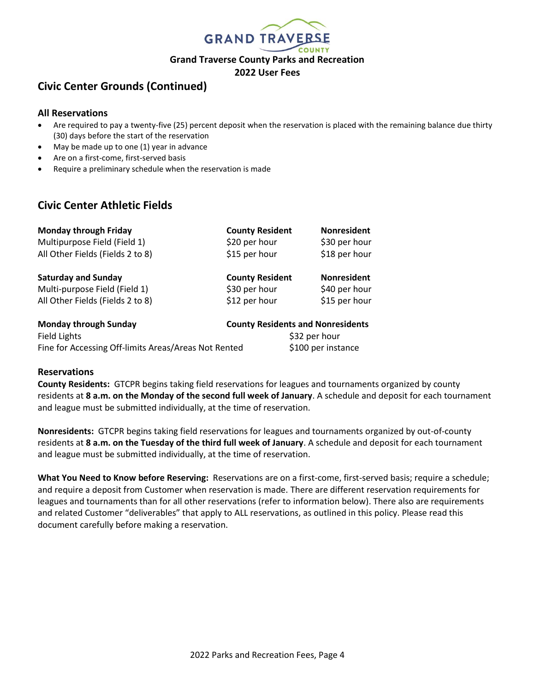

# **Civic Center Grounds (Continued)**

#### **All Reservations**

- Are required to pay a twenty-five (25) percent deposit when the reservation is placed with the remaining balance due thirty (30) days before the start of the reservation
- May be made up to one (1) year in advance
- Are on a first-come, first-served basis
- Require a preliminary schedule when the reservation is made

# **Civic Center Athletic Fields**

| <b>Monday through Friday</b>     | <b>County Resident</b>                   | <b>Nonresident</b> |
|----------------------------------|------------------------------------------|--------------------|
| Multipurpose Field (Field 1)     | \$20 per hour                            | \$30 per hour      |
| All Other Fields (Fields 2 to 8) | \$15 per hour                            | \$18 per hour      |
| <b>Saturday and Sunday</b>       | <b>County Resident</b>                   | <b>Nonresident</b> |
| Multi-purpose Field (Field 1)    | \$30 per hour                            | \$40 per hour      |
| All Other Fields (Fields 2 to 8) | \$12 per hour                            | \$15 per hour      |
| <b>Monday through Sunday</b>     | <b>County Residents and Nonresidents</b> |                    |
| Field Lights                     | \$32 per hour                            |                    |

Fine for Accessing Off-limits Areas/Areas Not Rented \$100 per instance

### **Reservations**

**County Residents:** GTCPR begins taking field reservations for leagues and tournaments organized by county residents at **8 a.m. on the Monday of the second full week of January**. A schedule and deposit for each tournament and league must be submitted individually, at the time of reservation.

**Nonresidents:** GTCPR begins taking field reservations for leagues and tournaments organized by out-of-county residents at **8 a.m. on the Tuesday of the third full week of January**. A schedule and deposit for each tournament and league must be submitted individually, at the time of reservation.

**What You Need to Know before Reserving:** Reservations are on a first-come, first-served basis; require a schedule; and require a deposit from Customer when reservation is made. There are different reservation requirements for leagues and tournaments than for all other reservations (refer to information below). There also are requirements and related Customer "deliverables" that apply to ALL reservations, as outlined in this policy. Please read this document carefully before making a reservation.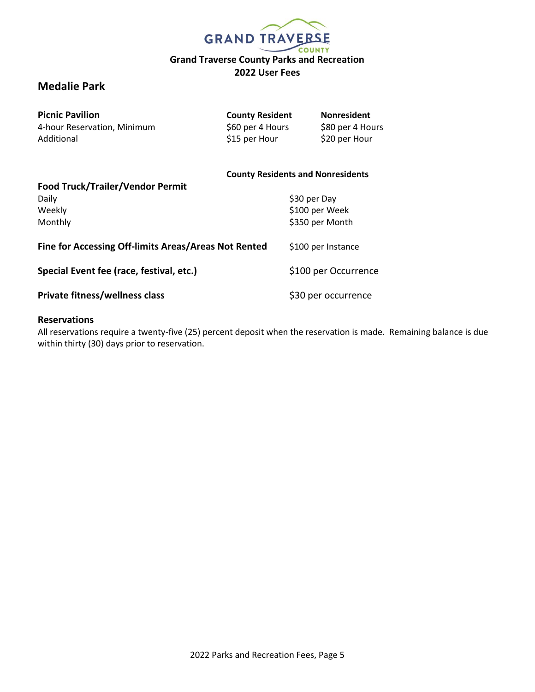

# **Medalie Park**

| <b>Picnic Pavilion</b>           | <b>County Resident</b>                   | <b>Nonresident</b> |
|----------------------------------|------------------------------------------|--------------------|
| 4-hour Reservation, Minimum      | \$60 per 4 Hours                         | \$80 per 4 Hours   |
| Additional                       | \$15 per Hour                            | \$20 per Hour      |
|                                  | <b>County Residents and Nonresidents</b> |                    |
| Food Truck/Trailer/Vendor Permit |                                          |                    |
| Daily                            |                                          | S30 per Dav        |

| Weekly<br>Monthly                                    | \$100 per Week<br>\$350 per Month |
|------------------------------------------------------|-----------------------------------|
| Fine for Accessing Off-limits Areas/Areas Not Rented | \$100 per Instance                |
| Special Event fee (race, festival, etc.)             | \$100 per Occurrence              |
| Private fitness/wellness class                       | \$30 per occurrence               |

### **Reservations**

All reservations require a twenty-five (25) percent deposit when the reservation is made. Remaining balance is due within thirty (30) days prior to reservation.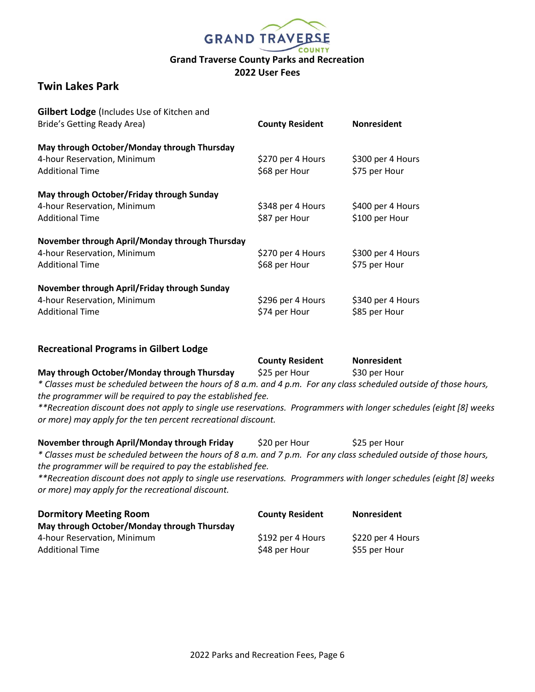

# **Twin Lakes Park**

| Gilbert Lodge (Includes Use of Kitchen and     |                        |                    |
|------------------------------------------------|------------------------|--------------------|
| Bride's Getting Ready Area)                    | <b>County Resident</b> | <b>Nonresident</b> |
| May through October/Monday through Thursday    |                        |                    |
| 4-hour Reservation, Minimum                    | \$270 per 4 Hours      | \$300 per 4 Hours  |
| <b>Additional Time</b>                         | \$68 per Hour          | \$75 per Hour      |
| May through October/Friday through Sunday      |                        |                    |
| 4-hour Reservation, Minimum                    | \$348 per 4 Hours      | \$400 per 4 Hours  |
| <b>Additional Time</b>                         | \$87 per Hour          | \$100 per Hour     |
| November through April/Monday through Thursday |                        |                    |
| 4-hour Reservation, Minimum                    | \$270 per 4 Hours      | \$300 per 4 Hours  |
| <b>Additional Time</b>                         | \$68 per Hour          | \$75 per Hour      |
| November through April/Friday through Sunday   |                        |                    |
| 4-hour Reservation, Minimum                    | \$296 per 4 Hours      | \$340 per 4 Hours  |
| <b>Additional Time</b>                         | \$74 per Hour          | \$85 per Hour      |

### **Recreational Programs in Gilbert Lodge**

|                                                                                                                     | <b>County Resident</b> | <b>Nonresident</b> |
|---------------------------------------------------------------------------------------------------------------------|------------------------|--------------------|
| May through October/Monday through Thursday                                                                         | \$25 per Hour          | \$30 per Hour      |
| * Classes must be scheduled between the hours of 8 a.m. and 4 p.m. For any class scheduled outside of those hours,  |                        |                    |
| the programmer will be required to pay the established fee.                                                         |                        |                    |
| **Recreation discount does not apply to single use reservations. Programmers with longer schedules (eight [8] weeks |                        |                    |
| or more) may apply for the ten percent recreational discount.                                                       |                        |                    |
| November through April/Monday through Friday                                                                        | \$20 per Hour          | \$25 per Hour      |
| * Classes must be scheduled between the hours of 8 a.m. and 7 p.m. For any class scheduled outside of those hours.  |                        |                    |

*\* Classes must be scheduled between the hours of 8 a.m. and 7 p.m. For any class scheduled outside of those hours, the programmer will be required to pay the established fee.* 

*\*\*Recreation discount does not apply to single use reservations. Programmers with longer schedules (eight [8] weeks or more) may apply for the recreational discount.*

| <b>Dormitory Meeting Room</b>               | <b>County Resident</b> | <b>Nonresident</b> |
|---------------------------------------------|------------------------|--------------------|
| May through October/Monday through Thursday |                        |                    |
| 4-hour Reservation, Minimum                 | \$192 per 4 Hours      | \$220 per 4 Hours  |
| <b>Additional Time</b>                      | \$48 per Hour          | \$55 per Hour      |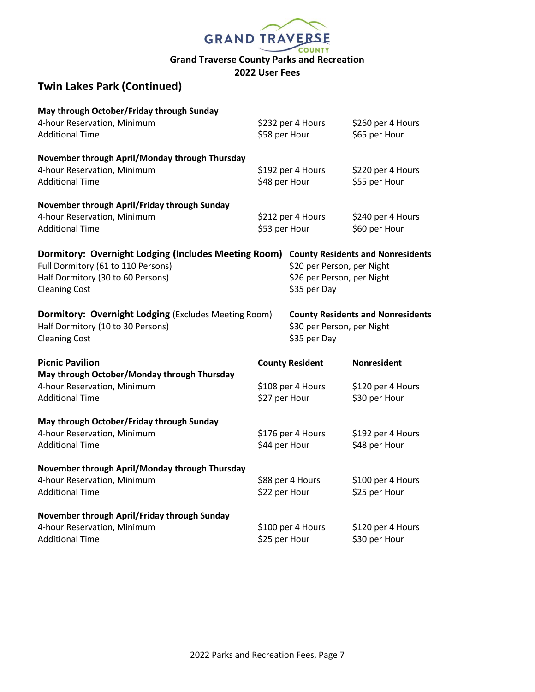

# **Twin Lakes Park (Continued)**

| May through October/Friday through Sunday                   |                   |                            |                                          |  |
|-------------------------------------------------------------|-------------------|----------------------------|------------------------------------------|--|
| 4-hour Reservation, Minimum                                 | \$232 per 4 Hours |                            | \$260 per 4 Hours                        |  |
| <b>Additional Time</b>                                      | \$58 per Hour     |                            | \$65 per Hour                            |  |
| November through April/Monday through Thursday              |                   |                            |                                          |  |
| 4-hour Reservation, Minimum                                 |                   | \$192 per 4 Hours          | \$220 per 4 Hours                        |  |
| <b>Additional Time</b>                                      | \$48 per Hour     |                            | \$55 per Hour                            |  |
| November through April/Friday through Sunday                |                   |                            |                                          |  |
| 4-hour Reservation, Minimum                                 |                   | \$212 per 4 Hours          | \$240 per 4 Hours                        |  |
| <b>Additional Time</b>                                      | \$53 per Hour     |                            | \$60 per Hour                            |  |
| Dormitory: Overnight Lodging (Includes Meeting Room)        |                   |                            | <b>County Residents and Nonresidents</b> |  |
| Full Dormitory (61 to 110 Persons)                          |                   | \$20 per Person, per Night |                                          |  |
| Half Dormitory (30 to 60 Persons)                           |                   | \$26 per Person, per Night |                                          |  |
| <b>Cleaning Cost</b>                                        |                   | \$35 per Day               |                                          |  |
| <b>Dormitory: Overnight Lodging (Excludes Meeting Room)</b> |                   |                            | <b>County Residents and Nonresidents</b> |  |
| Half Dormitory (10 to 30 Persons)                           |                   | \$30 per Person, per Night |                                          |  |
| <b>Cleaning Cost</b>                                        |                   | \$35 per Day               |                                          |  |
| <b>Picnic Pavilion</b>                                      |                   | <b>County Resident</b>     | <b>Nonresident</b>                       |  |
| May through October/Monday through Thursday                 |                   |                            |                                          |  |
| 4-hour Reservation, Minimum                                 |                   | \$108 per 4 Hours          | \$120 per 4 Hours                        |  |
| <b>Additional Time</b>                                      | \$27 per Hour     |                            | \$30 per Hour                            |  |
| May through October/Friday through Sunday                   |                   |                            |                                          |  |
| 4-hour Reservation, Minimum                                 |                   | \$176 per 4 Hours          | \$192 per 4 Hours                        |  |
| <b>Additional Time</b>                                      | \$44 per Hour     |                            | \$48 per Hour                            |  |
| November through April/Monday through Thursday              |                   |                            |                                          |  |
| 4-hour Reservation, Minimum                                 |                   | \$88 per 4 Hours           | \$100 per 4 Hours                        |  |
| <b>Additional Time</b>                                      | \$22 per Hour     |                            | \$25 per Hour                            |  |
| November through April/Friday through Sunday                |                   |                            |                                          |  |
| 4-hour Reservation, Minimum                                 |                   | \$100 per 4 Hours          | \$120 per 4 Hours                        |  |
| <b>Additional Time</b>                                      | \$25 per Hour     |                            | \$30 per Hour                            |  |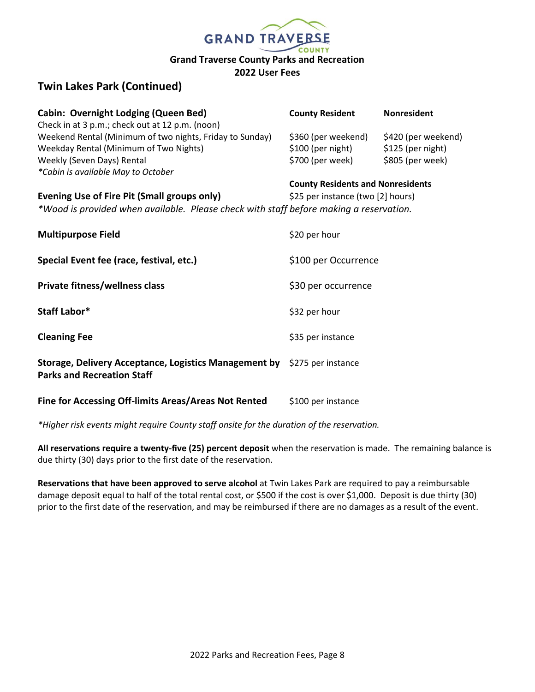

# **Twin Lakes Park (Continued)**

| <b>Cabin: Overnight Lodging (Queen Bed)</b>                                            | <b>County Resident</b>                   | <b>Nonresident</b>  |
|----------------------------------------------------------------------------------------|------------------------------------------|---------------------|
| Check in at 3 p.m.; check out at 12 p.m. (noon)                                        |                                          |                     |
| Weekend Rental (Minimum of two nights, Friday to Sunday)                               | \$360 (per weekend)                      | \$420 (per weekend) |
| Weekday Rental (Minimum of Two Nights)                                                 | \$100 (per night)                        | \$125 (per night)   |
| Weekly (Seven Days) Rental                                                             | \$700 (per week)                         | \$805 (per week)    |
| *Cabin is available May to October                                                     |                                          |                     |
|                                                                                        | <b>County Residents and Nonresidents</b> |                     |
| Evening Use of Fire Pit (Small groups only)                                            | \$25 per instance (two [2] hours)        |                     |
| *Wood is provided when available. Please check with staff before making a reservation. |                                          |                     |
|                                                                                        |                                          |                     |
| <b>Multipurpose Field</b>                                                              | \$20 per hour                            |                     |
|                                                                                        |                                          |                     |
| Special Event fee (race, festival, etc.)                                               | \$100 per Occurrence                     |                     |
|                                                                                        |                                          |                     |
| Private fitness/wellness class                                                         | \$30 per occurrence                      |                     |
|                                                                                        |                                          |                     |
| Staff Labor*                                                                           | \$32 per hour                            |                     |
|                                                                                        |                                          |                     |
| <b>Cleaning Fee</b>                                                                    | \$35 per instance                        |                     |
|                                                                                        |                                          |                     |
| Storage, Delivery Acceptance, Logistics Management by \$275 per instance               |                                          |                     |
| <b>Parks and Recreation Staff</b>                                                      |                                          |                     |
|                                                                                        |                                          |                     |
| Fine for Accessing Off-limits Areas/Areas Not Rented                                   | \$100 per instance                       |                     |
|                                                                                        |                                          |                     |

*\*Higher risk events might require County staff onsite for the duration of the reservation.* 

**All reservations require a twenty-five (25) percent deposit** when the reservation is made. The remaining balance is due thirty (30) days prior to the first date of the reservation.

**Reservations that have been approved to serve alcohol** at Twin Lakes Park are required to pay a reimbursable damage deposit equal to half of the total rental cost, or \$500 if the cost is over \$1,000. Deposit is due thirty (30) prior to the first date of the reservation, and may be reimbursed if there are no damages as a result of the event.